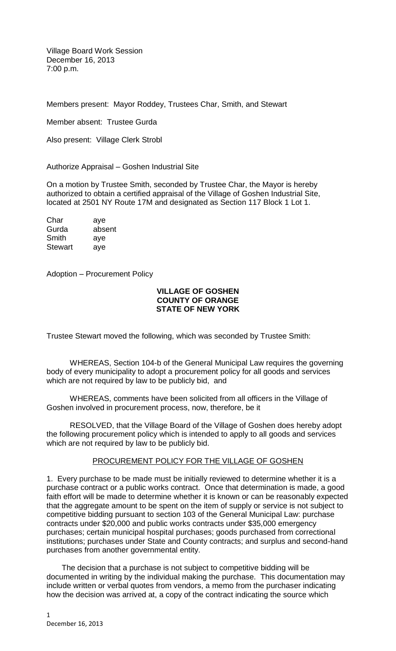Village Board Work Session December 16, 2013 7:00 p.m.

Members present: Mayor Roddey, Trustees Char, Smith, and Stewart

Member absent: Trustee Gurda

Also present: Village Clerk Strobl

Authorize Appraisal – Goshen Industrial Site

On a motion by Trustee Smith, seconded by Trustee Char, the Mayor is hereby authorized to obtain a certified appraisal of the Village of Goshen Industrial Site, located at 2501 NY Route 17M and designated as Section 117 Block 1 Lot 1.

| Char           | aye    |
|----------------|--------|
| Gurda          | absent |
| Smith          | aye    |
| <b>Stewart</b> | ave    |

Adoption – Procurement Policy

## **VILLAGE OF GOSHEN COUNTY OF ORANGE STATE OF NEW YORK**

Trustee Stewart moved the following, which was seconded by Trustee Smith:

WHEREAS, Section 104-b of the General Municipal Law requires the governing body of every municipality to adopt a procurement policy for all goods and services which are not required by law to be publicly bid, and

WHEREAS, comments have been solicited from all officers in the Village of Goshen involved in procurement process, now, therefore, be it

RESOLVED, that the Village Board of the Village of Goshen does hereby adopt the following procurement policy which is intended to apply to all goods and services which are not required by law to be publicly bid.

## PROCUREMENT POLICY FOR THE VILLAGE OF GOSHEN

1. Every purchase to be made must be initially reviewed to determine whether it is a purchase contract or a public works contract. Once that determination is made, a good faith effort will be made to determine whether it is known or can be reasonably expected that the aggregate amount to be spent on the item of supply or service is not subject to competitive bidding pursuant to section 103 of the General Municipal Law: purchase contracts under \$20,000 and public works contracts under \$35,000 emergency purchases; certain municipal hospital purchases; goods purchased from correctional institutions; purchases under State and County contracts; and surplus and second-hand purchases from another governmental entity.

 The decision that a purchase is not subject to competitive bidding will be documented in writing by the individual making the purchase. This documentation may include written or verbal quotes from vendors, a memo from the purchaser indicating how the decision was arrived at, a copy of the contract indicating the source which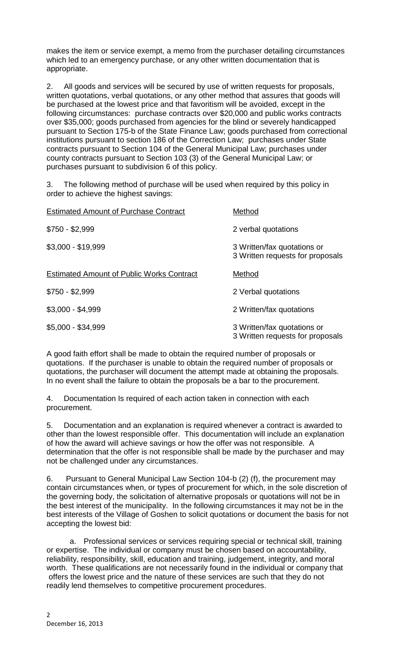makes the item or service exempt, a memo from the purchaser detailing circumstances which led to an emergency purchase, or any other written documentation that is appropriate.

2. All goods and services will be secured by use of written requests for proposals, written quotations, verbal quotations, or any other method that assures that goods will be purchased at the lowest price and that favoritism will be avoided, except in the following circumstances: purchase contracts over \$20,000 and public works contracts over \$35,000; goods purchased from agencies for the blind or severely handicapped pursuant to Section 175-b of the State Finance Law; goods purchased from correctional institutions pursuant to section 186 of the Correction Law; purchases under State contracts pursuant to Section 104 of the General Municipal Law; purchases under county contracts pursuant to Section 103 (3) of the General Municipal Law; or purchases pursuant to subdivision 6 of this policy.

3. The following method of purchase will be used when required by this policy in order to achieve the highest savings:

| <b>Estimated Amount of Purchase Contract</b>     | Method                                                          |
|--------------------------------------------------|-----------------------------------------------------------------|
| $$750 - $2,999$                                  | 2 verbal quotations                                             |
| $$3,000 - $19,999$                               | 3 Written/fax quotations or<br>3 Written requests for proposals |
| <b>Estimated Amount of Public Works Contract</b> | Method                                                          |
| $$750 - $2,999$                                  | 2 Verbal quotations                                             |
| $$3,000 - $4,999$                                | 2 Written/fax quotations                                        |
| \$5,000 - \$34,999                               | 3 Written/fax quotations or<br>3 Written requests for proposals |

A good faith effort shall be made to obtain the required number of proposals or quotations. If the purchaser is unable to obtain the required number of proposals or quotations, the purchaser will document the attempt made at obtaining the proposals. In no event shall the failure to obtain the proposals be a bar to the procurement.

4. Documentation Is required of each action taken in connection with each procurement.

5. Documentation and an explanation is required whenever a contract is awarded to other than the lowest responsible offer. This documentation will include an explanation of how the award will achieve savings or how the offer was not responsible. A determination that the offer is not responsible shall be made by the purchaser and may not be challenged under any circumstances.

6. Pursuant to General Municipal Law Section 104-b (2) (f), the procurement may contain circumstances when, or types of procurement for which, in the sole discretion of the governing body, the solicitation of alternative proposals or quotations will not be in the best interest of the municipality. In the following circumstances it may not be in the best interests of the Village of Goshen to solicit quotations or document the basis for not accepting the lowest bid:

a. Professional services or services requiring special or technical skill, training or expertise. The individual or company must be chosen based on accountability, reliability, responsibility, skill, education and training, judgement, integrity, and moral worth. These qualifications are not necessarily found in the individual or company that offers the lowest price and the nature of these services are such that they do not readily lend themselves to competitive procurement procedures.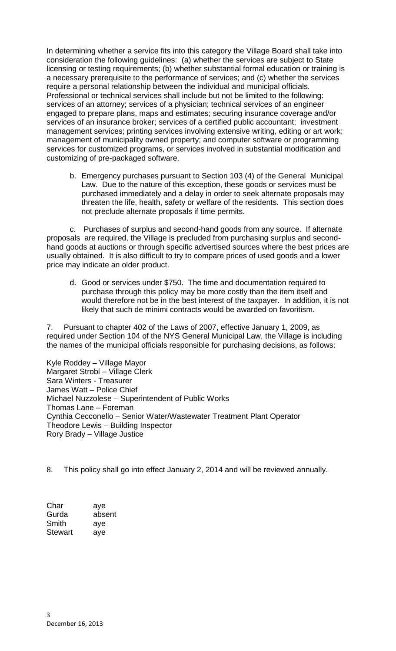In determining whether a service fits into this category the Village Board shall take into consideration the following guidelines: (a) whether the services are subject to State licensing or testing requirements; (b) whether substantial formal education or training is a necessary prerequisite to the performance of services; and (c) whether the services require a personal relationship between the individual and municipal officials. Professional or technical services shall include but not be limited to the following: services of an attorney; services of a physician; technical services of an engineer engaged to prepare plans, maps and estimates; securing insurance coverage and/or services of an insurance broker; services of a certified public accountant; investment management services; printing services involving extensive writing, editing or art work; management of municipality owned property; and computer software or programming services for customized programs, or services involved in substantial modification and customizing of pre-packaged software.

b. Emergency purchases pursuant to Section 103 (4) of the General Municipal Law. Due to the nature of this exception, these goods or services must be purchased immediately and a delay in order to seek alternate proposals may threaten the life, health, safety or welfare of the residents. This section does not preclude alternate proposals if time permits.

c. Purchases of surplus and second-hand goods from any source. If alternate proposals are required, the Village is precluded from purchasing surplus and secondhand goods at auctions or through specific advertised sources where the best prices are usually obtained. It is also difficult to try to compare prices of used goods and a lower price may indicate an older product.

d. Good or services under \$750. The time and documentation required to purchase through this policy may be more costly than the item itself and would therefore not be in the best interest of the taxpayer. In addition, it is not likely that such de minimi contracts would be awarded on favoritism.

7. Pursuant to chapter 402 of the Laws of 2007, effective January 1, 2009, as required under Section 104 of the NYS General Municipal Law, the Village is including the names of the municipal officials responsible for purchasing decisions, as follows:

Kyle Roddey – Village Mayor Margaret Strobl – Village Clerk Sara Winters - Treasurer James Watt – Police Chief Michael Nuzzolese – Superintendent of Public Works Thomas Lane – Foreman Cynthia Cecconello – Senior Water/Wastewater Treatment Plant Operator Theodore Lewis – Building Inspector Rory Brady – Village Justice

8. This policy shall go into effect January 2, 2014 and will be reviewed annually.

Char aye Gurda absent Smith aye Stewart aye